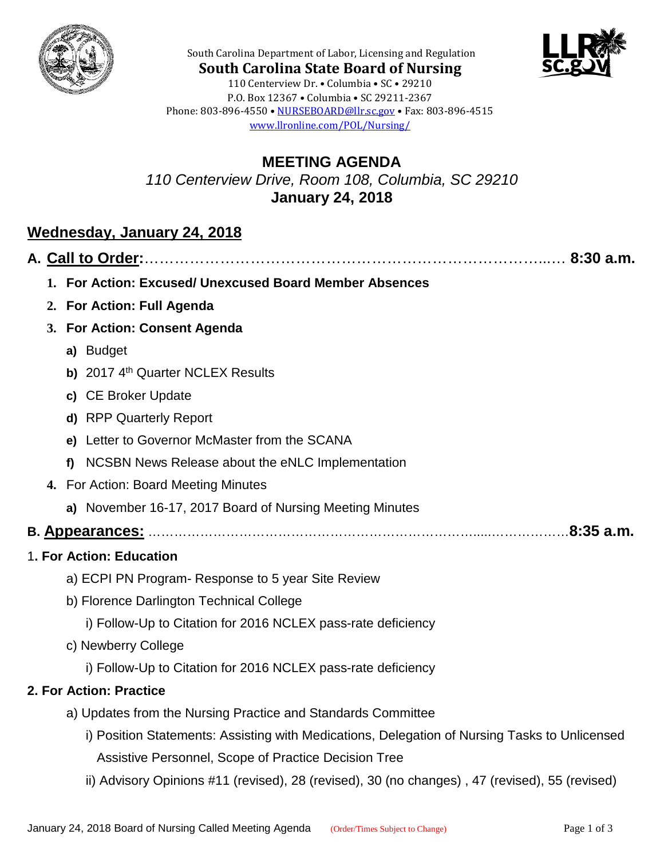



**South Carolina State Board of Nursing** 110 Centerview Dr. • Columbia • SC • 29210 P.O. Box 12367 • Columbia • SC 29211-2367 Phone: 803-896-4550 • [NURSEBOARD@llr.sc.gov](mailto:contactllr@llr.sc.gov) • Fax: 803-896-4515 [www.llronline.com/POL/Nursing/](http://www.llronline.com/POL/Nursing/)

South Carolina Department of Labor, Licensing and Regulation

## **MEETING AGENDA** *110 Centerview Drive, Room 108, Columbia, SC 29210* **January 24, 2018**

## **Wednesday, January 24, 2018**

| 1. For Action: Excused/ Unexcused Board Member Absences      |
|--------------------------------------------------------------|
| 2. For Action: Full Agenda                                   |
| 3. For Action: Consent Agenda                                |
| a) Budget                                                    |
| b) 2017 4th Quarter NCLEX Results                            |
| c) CE Broker Update                                          |
| d) RPP Quarterly Report                                      |
| e) Letter to Governor McMaster from the SCANA                |
| f) NCSBN News Release about the eNLC Implementation          |
| 4. For Action: Board Meeting Minutes                         |
| a) November 16-17, 2017 Board of Nursing Meeting Minutes     |
|                                                              |
| 1. For Action: Education                                     |
| a) ECPI PN Program- Response to 5 year Site Review           |
| b) Florence Darlington Technical College                     |
| i) Follow-Up to Citation for 2016 NCLEX pass-rate deficiency |
| c) Newberry College                                          |
|                                                              |

i) Follow-Up to Citation for 2016 NCLEX pass-rate deficiency

## **2. For Action: Practice**

- a) Updates from the Nursing Practice and Standards Committee
	- i) Position Statements: Assisting with Medications, Delegation of Nursing Tasks to Unlicensed Assistive Personnel, Scope of Practice Decision Tree
	- ii) Advisory Opinions #11 (revised), 28 (revised), 30 (no changes) , 47 (revised), 55 (revised)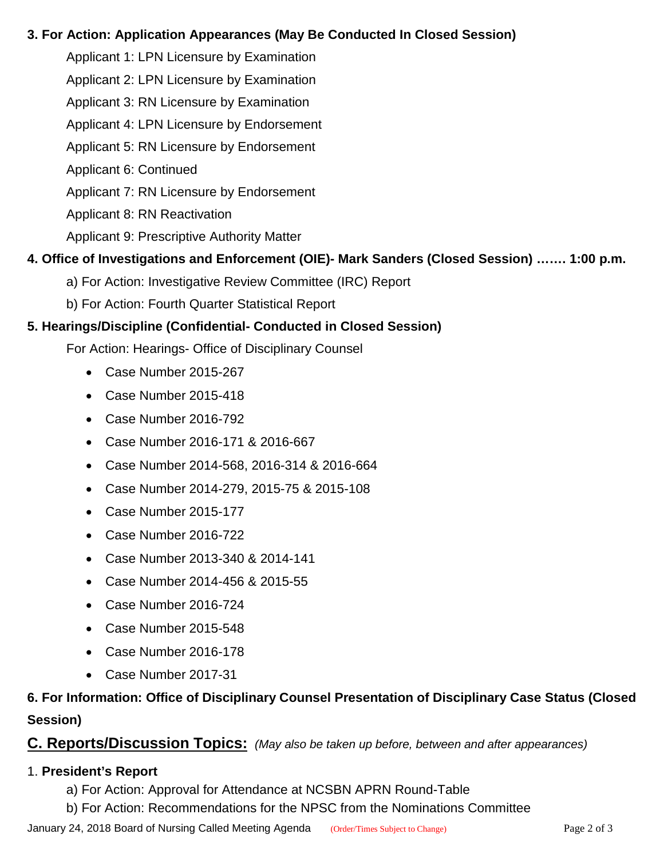### **3. For Action: Application Appearances (May Be Conducted In Closed Session)**

- Applicant 1: LPN Licensure by Examination
- Applicant 2: LPN Licensure by Examination
- Applicant 3: RN Licensure by Examination
- Applicant 4: LPN Licensure by Endorsement
- Applicant 5: RN Licensure by Endorsement
- Applicant 6: Continued
- Applicant 7: RN Licensure by Endorsement
- Applicant 8: RN Reactivation
- Applicant 9: Prescriptive Authority Matter

## **4. Office of Investigations and Enforcement (OIE)- Mark Sanders (Closed Session) ……. 1:00 p.m.**

- a) For Action: Investigative Review Committee (IRC) Report
- b) For Action: Fourth Quarter Statistical Report

## **5. Hearings/Discipline (Confidential- Conducted in Closed Session)**

For Action: Hearings- Office of Disciplinary Counsel

- Case Number 2015-267
- Case Number 2015-418
- Case Number 2016-792
- Case Number 2016-171 & 2016-667
- Case Number 2014-568, 2016-314 & 2016-664
- Case Number 2014-279, 2015-75 & 2015-108
- Case Number 2015-177
- Case Number 2016-722
- Case Number 2013-340 & 2014-141
- Case Number 2014-456 & 2015-55
- Case Number 2016-724
- Case Number 2015-548
- Case Number 2016-178
- Case Number 2017-31

# **6. For Information: Office of Disciplinary Counsel Presentation of Disciplinary Case Status (Closed Session)**

## **C. Reports/Discussion Topics:** *(May also be taken up before, between and after appearances)*

### 1. **President's Report**

- a) For Action: Approval for Attendance at NCSBN APRN Round-Table
- b) For Action: Recommendations for the NPSC from the Nominations Committee